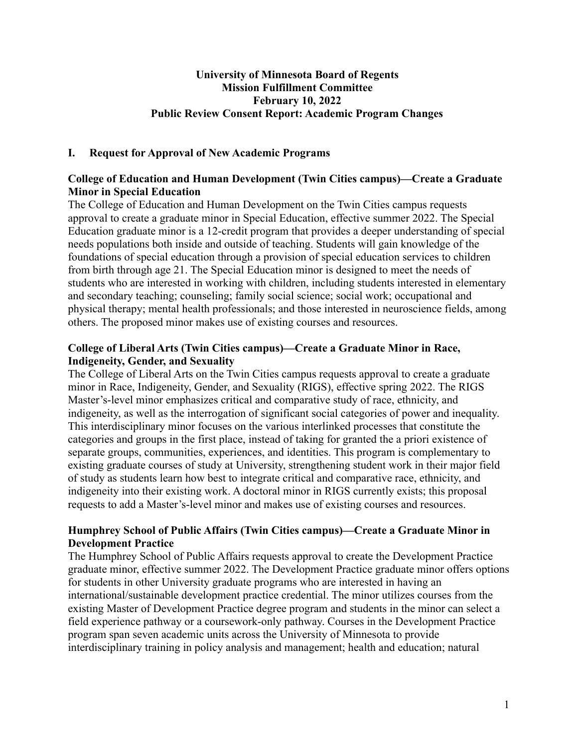### **University of Minnesota Board of Regents Mission Fulfillment Committee February 10, 2022 Public Review Consent Report: Academic Program Changes**

## **I. Request for Approval of New Academic Programs**

# **College of Education and Human Development (Twin Cities campus)—Create a Graduate Minor in Special Education**

The College of Education and Human Development on the Twin Cities campus requests approval to create a graduate minor in Special Education, effective summer 2022. The Special Education graduate minor is a 12-credit program that provides a deeper understanding of special needs populations both inside and outside of teaching. Students will gain knowledge of the foundations of special education through a provision of special education services to children from birth through age 21. The Special Education minor is designed to meet the needs of students who are interested in working with children, including students interested in elementary and secondary teaching; counseling; family social science; social work; occupational and physical therapy; mental health professionals; and those interested in neuroscience fields, among others. The proposed minor makes use of existing courses and resources.

## **College of Liberal Arts (Twin Cities campus)—Create a Graduate Minor in Race, Indigeneity, Gender, and Sexuality**

The College of Liberal Arts on the Twin Cities campus requests approval to create a graduate minor in Race, Indigeneity, Gender, and Sexuality (RIGS), effective spring 2022. The RIGS Master's-level minor emphasizes critical and comparative study of race, ethnicity, and indigeneity, as well as the interrogation of significant social categories of power and inequality. This interdisciplinary minor focuses on the various interlinked processes that constitute the categories and groups in the first place, instead of taking for granted the a priori existence of separate groups, communities, experiences, and identities. This program is complementary to existing graduate courses of study at University, strengthening student work in their major field of study as students learn how best to integrate critical and comparative race, ethnicity, and indigeneity into their existing work. A doctoral minor in RIGS currently exists; this proposal requests to add a Master's-level minor and makes use of existing courses and resources.

# **Humphrey School of Public Affairs (Twin Cities campus)—Create a Graduate Minor in Development Practice**

The Humphrey School of Public Affairs requests approval to create the Development Practice graduate minor, effective summer 2022. The Development Practice graduate minor offers options for students in other University graduate programs who are interested in having an international/sustainable development practice credential. The minor utilizes courses from the existing Master of Development Practice degree program and students in the minor can select a field experience pathway or a coursework-only pathway. Courses in the Development Practice program span seven academic units across the University of Minnesota to provide interdisciplinary training in policy analysis and management; health and education; natural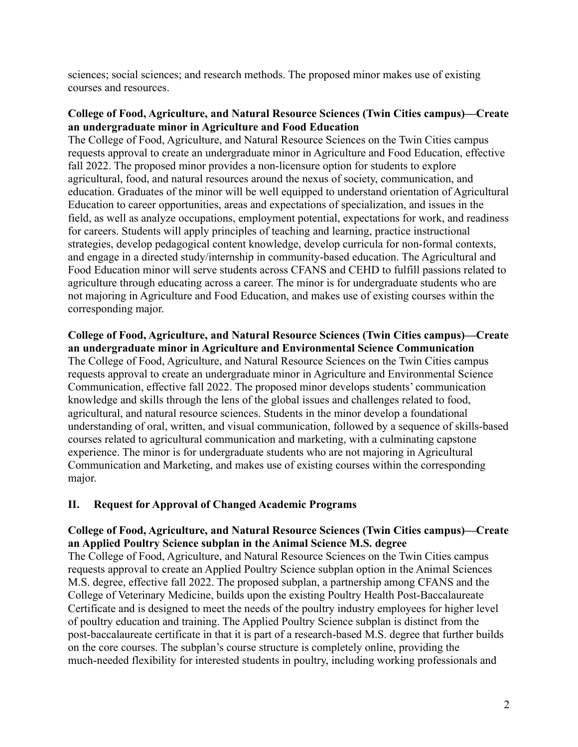sciences; social sciences; and research methods. The proposed minor makes use of existing courses and resources.

## **College of Food, Agriculture, and Natural Resource Sciences (Twin Cities campus)—Create an undergraduate minor in Agriculture and Food Education**

The College of Food, Agriculture, and Natural Resource Sciences on the Twin Cities campus requests approval to create an undergraduate minor in Agriculture and Food Education, effective fall 2022. The proposed minor provides a non-licensure option for students to explore agricultural, food, and natural resources around the nexus of society, communication, and education. Graduates of the minor will be well equipped to understand orientation of Agricultural Education to career opportunities, areas and expectations of specialization, and issues in the field, as well as analyze occupations, employment potential, expectations for work, and readiness for careers. Students will apply principles of teaching and learning, practice instructional strategies, develop pedagogical content knowledge, develop curricula for non-formal contexts, and engage in a directed study/internship in community-based education. The Agricultural and Food Education minor will serve students across CFANS and CEHD to fulfill passions related to agriculture through educating across a career. The minor is for undergraduate students who are not majoring in Agriculture and Food Education, and makes use of existing courses within the corresponding major.

#### **College of Food, Agriculture, and Natural Resource Sciences (Twin Cities campus)—Create an undergraduate minor in Agriculture and Environmental Science Communication**

The College of Food, Agriculture, and Natural Resource Sciences on the Twin Cities campus requests approval to create an undergraduate minor in Agriculture and Environmental Science Communication, effective fall 2022. The proposed minor develops students' communication knowledge and skills through the lens of the global issues and challenges related to food, agricultural, and natural resource sciences. Students in the minor develop a foundational understanding of oral, written, and visual communication, followed by a sequence of skills-based courses related to agricultural communication and marketing, with a culminating capstone experience. The minor is for undergraduate students who are not majoring in Agricultural Communication and Marketing, and makes use of existing courses within the corresponding major.

### **II. Request for Approval of Changed Academic Programs**

### **College of Food, Agriculture, and Natural Resource Sciences (Twin Cities campus)—Create an Applied Poultry Science subplan in the Animal Science M.S. degree**

The College of Food, Agriculture, and Natural Resource Sciences on the Twin Cities campus requests approval to create an Applied Poultry Science subplan option in the Animal Sciences M.S. degree, effective fall 2022. The proposed subplan, a partnership among CFANS and the College of Veterinary Medicine, builds upon the existing Poultry Health Post-Baccalaureate Certificate and is designed to meet the needs of the poultry industry employees for higher level of poultry education and training. The Applied Poultry Science subplan is distinct from the post-baccalaureate certificate in that it is part of a research-based M.S. degree that further builds on the core courses. The subplan's course structure is completely online, providing the much-needed flexibility for interested students in poultry, including working professionals and